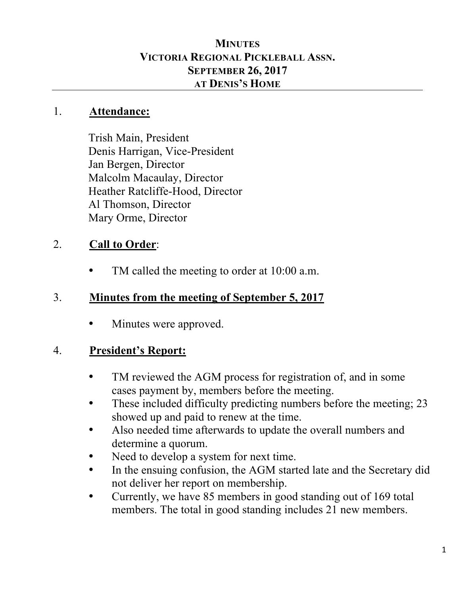### **MINUTES VICTORIA REGIONAL PICKLEBALL ASSN. SEPTEMBER 26, 2017 AT DENIS'S HOME**

#### 1. **Attendance:**

Trish Main, President Denis Harrigan, Vice-President Jan Bergen, Director Malcolm Macaulay, Director Heather Ratcliffe-Hood, Director Al Thomson, Director Mary Orme, Director

## 2. **Call to Order**:

TM called the meeting to order at 10:00 a.m.

## 3. **Minutes from the meeting of September 5, 2017**

• Minutes were approved.

## 4. **President's Report:**

- TM reviewed the AGM process for registration of, and in some cases payment by, members before the meeting.
- These included difficulty predicting numbers before the meeting; 23 showed up and paid to renew at the time.
- Also needed time afterwards to update the overall numbers and determine a quorum.
- Need to develop a system for next time.
- In the ensuing confusion, the AGM started late and the Secretary did not deliver her report on membership.
- Currently, we have 85 members in good standing out of 169 total members. The total in good standing includes 21 new members.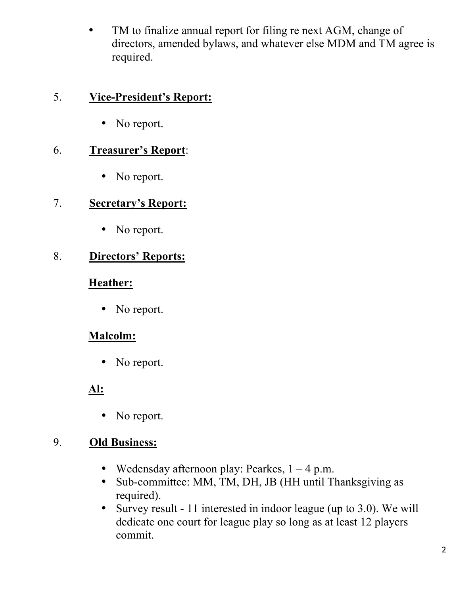• TM to finalize annual report for filing re next AGM, change of directors, amended bylaws, and whatever else MDM and TM agree is required.

#### 5. **Vice-President's Report:**

• No report.

#### 6. **Treasurer's Report**:

• No report.

### 7. **Secretary's Report:**

• No report.

### 8. **Directors' Reports:**

#### **Heather:**

• No report.

## **Malcolm:**

• No report.

## **Al:**

• No report.

### 9. **Old Business:**

- Wedensday afternoon play: Pearkes,  $1 4$  p.m.
- Sub-committee: MM, TM, DH, JB (HH until Thanksgiving as required).
- Survey result 11 interested in indoor league (up to 3.0). We will dedicate one court for league play so long as at least 12 players commit.